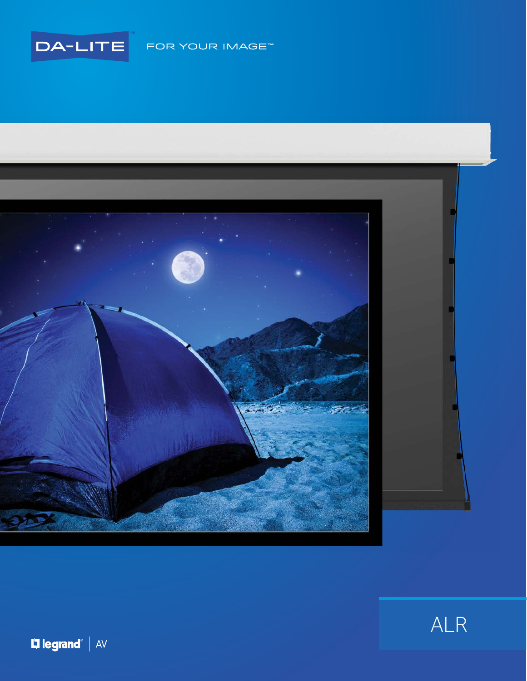





Hlegrand<sup>®</sup> | AV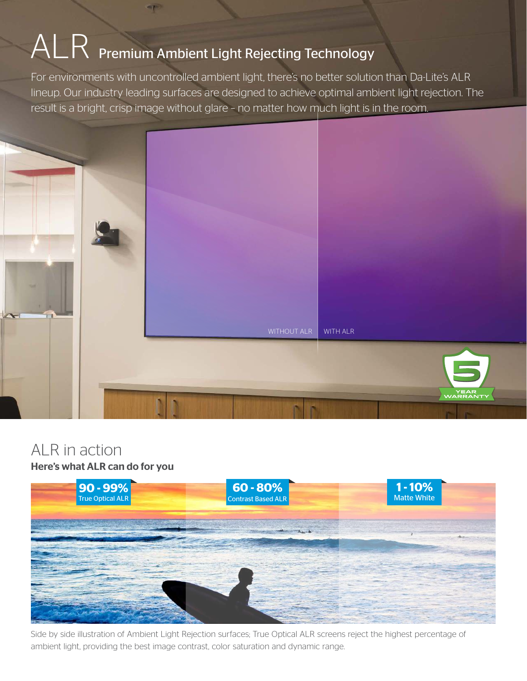# $\mathsf{ALR}\;$  Premium Ambient Light Rejecting Technology

**ST** 

For environments with uncontrolled ambient light, there's no better solution than Da-Lite's ALR lineup. Our industry leading surfaces are designed to achieve optimal ambient light rejection. The result is a bright, crisp image without glare – no matter how much light is in the room.



## ALR in action Here's what ALR can do for you



Side by side illustration of Ambient Light Rejection surfaces; True Optical ALR screens reject the highest percentage of ambient light, providing the best image contrast, color saturation and dynamic range.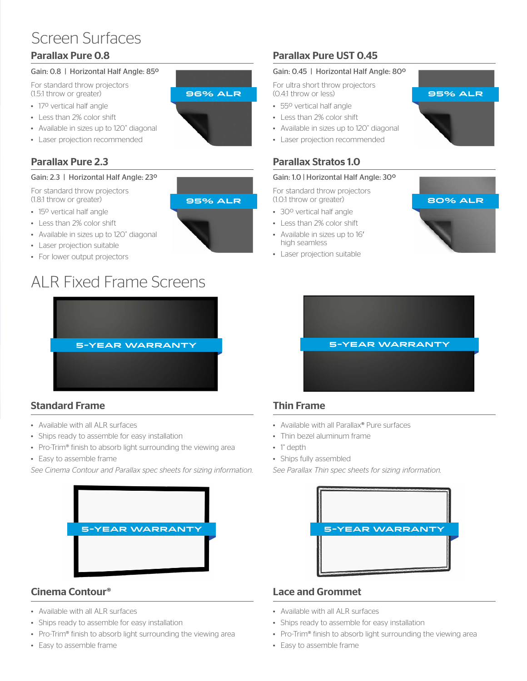# Screen Surfaces

#### Parallax Pure 0.8

#### Gain: 0.8 | Horizontal Half Angle: 85º

For standard throw projectors (1.5:1 throw or greater)

- 17º vertical half angle
- Less than 2% color shift
- Available in sizes up to 120" diagonal
- Laser projection recommended

#### Parallax Pure 2.3

#### Gain: 2.3 | Horizontal Half Angle: 23º

For standard throw projectors (1.8:1 throw or greater)

- 15º vertical half angle
- Less than 2% color shift
- Available in sizes up to 120" diagonal
- Laser projection suitable
- For lower output projectors

# ALR Fixed Frame Screens



#### Standard Frame

- Available with all ALR surfaces
- Ships ready to assemble for easy installation
- Pro-Trim® finish to absorb light surrounding the viewing area
- Easy to assemble frame

*See Cinema Contour and Parallax spec sheets for sizing information.* 



- Available with all ALR surfaces
- Ships ready to assemble for easy installation
- Pro-Trim® finish to absorb light surrounding the viewing area
- Easy to assemble frame



#### Parallax Pure UST 0.45

#### Gain: 0.45 | Horizontal Half Angle: 80º

For ultra short throw projectors (0.4:1 throw or less) **96% ALR 6.4.1 throw or less) 195% ALR** 

- 55º vertical half angle
- Less than 2% color shift
- Available in sizes up to 120" diagonal
- Laser projection recommended

#### Parallax Stratos 1.0

#### Gain: 1.0 | Horizontal Half Angle: 30º

For standard throw projectors

- 30º vertical half angle
- Less than 2% color shift
- Available in sizes up to 16' high seamless
- Laser projection suitable





#### Thin Frame

- Available with all Parallax® Pure surfaces
- Thin bezel aluminum frame
- 1" depth
- Ships fully assembled

*See Parallax Thin spec sheets for sizing information.*

| <b>5-YEAR WARRANTY</b> |  |
|------------------------|--|
|                        |  |

#### Cinema Contour**®** Lace and Grommet

- Available with all ALR surfaces
- Ships ready to assemble for easy installation
- Pro-Trim® finish to absorb light surrounding the viewing area
- Easy to assemble frame